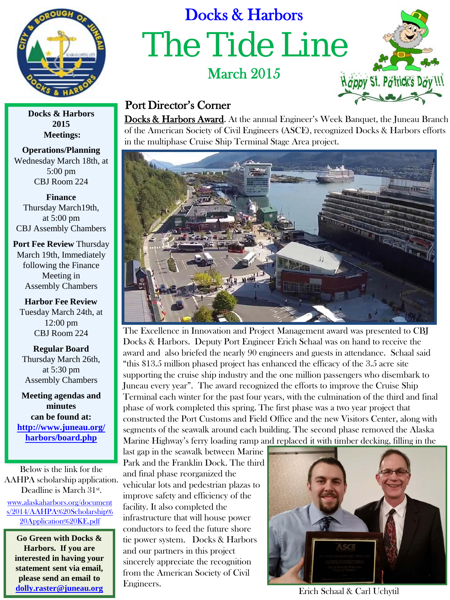

## Docks & Harbors The Tide Line March 2015



## Port Director's Corner

Docks & Harbors Award. At the annual Engineer's Week Banquet, the Juneau Branch of the American Society of Civil Engineers (ASCE), recognized Docks & Harbors efforts in the multiphase Cruise Ship Terminal Stage Area project.



The Excellence in Innovation and Project Management award was presented to CBJ Docks & Harbors. Deputy Port Engineer Erich Schaal was on hand to receive the award and also briefed the nearly 90 engineers and guests in attendance. Schaal said "this \$13.5 million phased project has enhanced the efficacy of the 3.5 acre site supporting the cruise ship industry and the one million passengers who disembark to Juneau every year". The award recognized the efforts to improve the Cruise Ship Terminal each winter for the past four years, with the culmination of the third and final phase of work completed this spring. The first phase was a two year project that constructed the Port Customs and Field Office and the new Visitors Center, along with segments of the seawalk around each building. The second phase removed the Alaska Marine Highway's ferry loading ramp and replaced it with timber decking, filling in the

last gap in the seawalk between Marine Park and the Franklin Dock. The third and final phase reorganized the vehicular lots and pedestrian plazas to improve safety and efficiency of the facility. It also completed the infrastructure that will house power conductors to feed the future shore tie power system. Docks & Harbors and our partners in this project sincerely appreciate the recognition from the American Society of Civil Engineers. The Community of the Carl Uchytil Community of the Carl Uchytil Community of the Carl Uchytil Community of the Carl Uchytil Community of the Carl Uchytil Community of the Carl Uchytil Community of the Carl Uchyt



**2015 Meetings:**

**Operations/Planning**  Wednesday March 18th, at 5:00 pm CBJ Room 224

**Finance**  Thursday March19th, at 5:00 pm CBJ Assembly Chambers

**Port Fee Review** Thursday March 19th, Immediately following the Finance Meeting in Assembly Chambers

**Harbor Fee Review**  Tuesday March 24th, at 12:00 pm CBJ Room 224

**Regular Board**  Thursday March 26th, at 5:30 pm Assembly Chambers

**Meeting agendas and minutes can be found at: [http://www.juneau.org/](http://www.juneau.org/harbors/board.php) [harbors/board.php](http://www.juneau.org/harbors/board.php)**

[www.alaskaharbors.org/document](http://www.alaskaharbors.org/documents/2014/AAHPA%20Scholarship%20Application%20KE.pdf) [s/2014/AAHPA%20Scholarship%](http://www.alaskaharbors.org/documents/2014/AAHPA%20Scholarship%20Application%20KE.pdf) [20Application%20KE.pdf](http://www.alaskaharbors.org/documents/2014/AAHPA%20Scholarship%20Application%20KE.pdf) Below is the link for the AAHPA scholarship application. Deadline is March 31st.

**Go Green with Docks & Harbors. If you are interested in having your statement sent via email, please send an email to [dolly.raster@juneau.org](mailto:dolly.raster@juneau.org)**